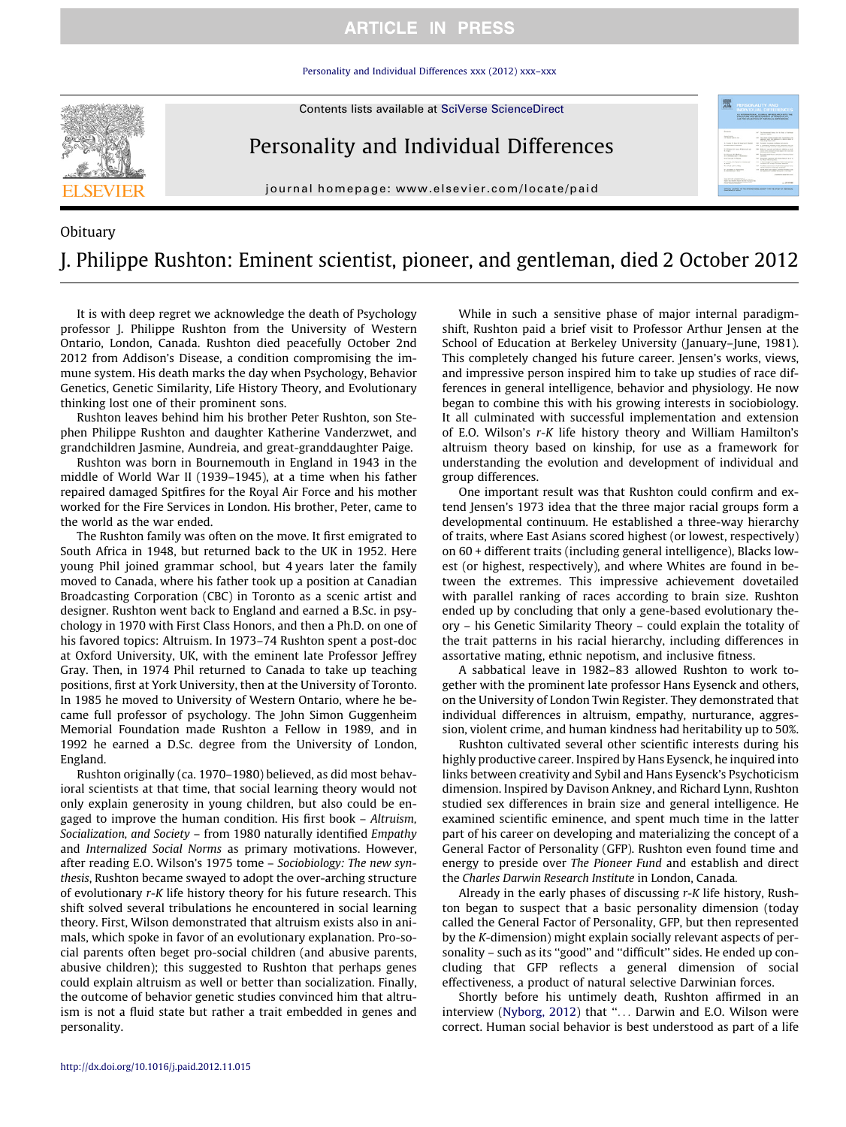## **ARTICLE IN PRESS**

[Personality and Individual Differences xxx \(2012\) xxx–xxx](http://dx.doi.org/10.1016/j.paid.2012.11.015)



Contents lists available at [SciVerse ScienceDirect](http://www.sciencedirect.com/science/journal/01918869)

Personality and Individual Differences

journal homepage: [www.elsevier.com/locate/paid](http://www.elsevier.com/locate/paid)

## **Obituary** J. Philippe Rushton: Eminent scientist, pioneer, and gentleman, died 2 October 2012

It is with deep regret we acknowledge the death of Psychology professor J. Philippe Rushton from the University of Western Ontario, London, Canada. Rushton died peacefully October 2nd 2012 from Addison's Disease, a condition compromising the immune system. His death marks the day when Psychology, Behavior Genetics, Genetic Similarity, Life History Theory, and Evolutionary thinking lost one of their prominent sons.

Rushton leaves behind him his brother Peter Rushton, son Stephen Philippe Rushton and daughter Katherine Vanderzwet, and grandchildren Jasmine, Aundreia, and great-granddaughter Paige.

Rushton was born in Bournemouth in England in 1943 in the middle of World War II (1939–1945), at a time when his father repaired damaged Spitfires for the Royal Air Force and his mother worked for the Fire Services in London. His brother, Peter, came to the world as the war ended.

The Rushton family was often on the move. It first emigrated to South Africa in 1948, but returned back to the UK in 1952. Here young Phil joined grammar school, but 4 years later the family moved to Canada, where his father took up a position at Canadian Broadcasting Corporation (CBC) in Toronto as a scenic artist and designer. Rushton went back to England and earned a B.Sc. in psychology in 1970 with First Class Honors, and then a Ph.D. on one of his favored topics: Altruism. In 1973–74 Rushton spent a post-doc at Oxford University, UK, with the eminent late Professor Jeffrey Gray. Then, in 1974 Phil returned to Canada to take up teaching positions, first at York University, then at the University of Toronto. In 1985 he moved to University of Western Ontario, where he became full professor of psychology. The John Simon Guggenheim Memorial Foundation made Rushton a Fellow in 1989, and in 1992 he earned a D.Sc. degree from the University of London, England.

Rushton originally (ca. 1970–1980) believed, as did most behavioral scientists at that time, that social learning theory would not only explain generosity in young children, but also could be engaged to improve the human condition. His first book – Altruism, Socialization, and Society – from 1980 naturally identified Empathy and Internalized Social Norms as primary motivations. However, after reading E.O. Wilson's 1975 tome – Sociobiology: The new synthesis, Rushton became swayed to adopt the over-arching structure of evolutionary r-K life history theory for his future research. This shift solved several tribulations he encountered in social learning theory. First, Wilson demonstrated that altruism exists also in animals, which spoke in favor of an evolutionary explanation. Pro-social parents often beget pro-social children (and abusive parents, abusive children); this suggested to Rushton that perhaps genes could explain altruism as well or better than socialization. Finally, the outcome of behavior genetic studies convinced him that altruism is not a fluid state but rather a trait embedded in genes and personality.

While in such a sensitive phase of major internal paradigmshift, Rushton paid a brief visit to Professor Arthur Jensen at the School of Education at Berkeley University (January–June, 1981). This completely changed his future career. Jensen's works, views, and impressive person inspired him to take up studies of race differences in general intelligence, behavior and physiology. He now began to combine this with his growing interests in sociobiology. It all culminated with successful implementation and extension of E.O. Wilson's r-K life history theory and William Hamilton's altruism theory based on kinship, for use as a framework for understanding the evolution and development of individual and group differences.

One important result was that Rushton could confirm and extend Jensen's 1973 idea that the three major racial groups form a developmental continuum. He established a three-way hierarchy of traits, where East Asians scored highest (or lowest, respectively) on 60 + different traits (including general intelligence), Blacks lowest (or highest, respectively), and where Whites are found in between the extremes. This impressive achievement dovetailed with parallel ranking of races according to brain size. Rushton ended up by concluding that only a gene-based evolutionary theory – his Genetic Similarity Theory – could explain the totality of the trait patterns in his racial hierarchy, including differences in assortative mating, ethnic nepotism, and inclusive fitness.

A sabbatical leave in 1982–83 allowed Rushton to work together with the prominent late professor Hans Eysenck and others, on the University of London Twin Register. They demonstrated that individual differences in altruism, empathy, nurturance, aggression, violent crime, and human kindness had heritability up to 50%.

Rushton cultivated several other scientific interests during his highly productive career. Inspired by Hans Eysenck, he inquired into links between creativity and Sybil and Hans Eysenck's Psychoticism dimension. Inspired by Davison Ankney, and Richard Lynn, Rushton studied sex differences in brain size and general intelligence. He examined scientific eminence, and spent much time in the latter part of his career on developing and materializing the concept of a General Factor of Personality (GFP). Rushton even found time and energy to preside over The Pioneer Fund and establish and direct the Charles Darwin Research Institute in London, Canada.

Already in the early phases of discussing r-K life history, Rushton began to suspect that a basic personality dimension (today called the General Factor of Personality, GFP, but then represented by the K-dimension) might explain socially relevant aspects of personality – such as its ''good'' and ''difficult'' sides. He ended up concluding that GFP reflects a general dimension of social effectiveness, a product of natural selective Darwinian forces.

Shortly before his untimely death, Rushton affirmed in an interview [\(Nyborg, 2012\)](#page-1-0) that "... Darwin and E.O. Wilson were correct. Human social behavior is best understood as part of a life